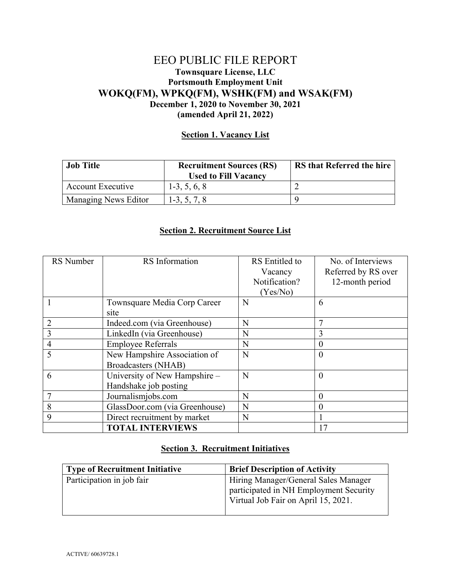## EEO PUBLIC FILE REPORT **Townsquare License, LLC Portsmouth Employment Unit WOKQ(FM), WPKQ(FM), WSHK(FM) and WSAK(FM) December 1, 2020 to November 30, 2021 (amended April 21, 2022)**

## **Section 1. Vacancy List**

| <b>Job Title</b>         | <b>Recruitment Sources (RS)</b><br><b>Used to Fill Vacancy</b> | <b>RS</b> that Referred the hire |
|--------------------------|----------------------------------------------------------------|----------------------------------|
| <b>Account Executive</b> | $1-3, 5, 6, 8$                                                 |                                  |
| Managing News Editor     | $1-3, 5, 7, 8$                                                 |                                  |

## **Section 2. Recruitment Source List**

| RS Number | RS Information                 | RS Entitled to | No. of Interviews   |
|-----------|--------------------------------|----------------|---------------------|
|           |                                | Vacancy        | Referred by RS over |
|           |                                | Notification?  | 12-month period     |
|           |                                | (Yes/No)       |                     |
|           | Townsquare Media Corp Career   | N              | 6                   |
|           | site                           |                |                     |
| 2         | Indeed.com (via Greenhouse)    | N              |                     |
| 3         | LinkedIn (via Greenhouse)      | N              | 3                   |
| 4         | <b>Employee Referrals</b>      | N              | $\theta$            |
| 5         | New Hampshire Association of   | N              | $\Omega$            |
|           | <b>Broadcasters (NHAB)</b>     |                |                     |
| 6         | University of New Hampshire -  | N              | $\Omega$            |
|           | Handshake job posting          |                |                     |
|           | Journalismjobs.com             | N              | $\Omega$            |
| 8         | GlassDoor.com (via Greenhouse) | N              | O                   |
| 9         | Direct recruitment by market   | N              |                     |
|           | <b>TOTAL INTERVIEWS</b>        |                | 17                  |

## **Section 3. Recruitment Initiatives**

| <b>Type of Recruitment Initiative</b> | <b>Brief Description of Activity</b>                                                                                  |
|---------------------------------------|-----------------------------------------------------------------------------------------------------------------------|
| Participation in job fair             | Hiring Manager/General Sales Manager<br>participated in NH Employment Security<br>Virtual Job Fair on April 15, 2021. |